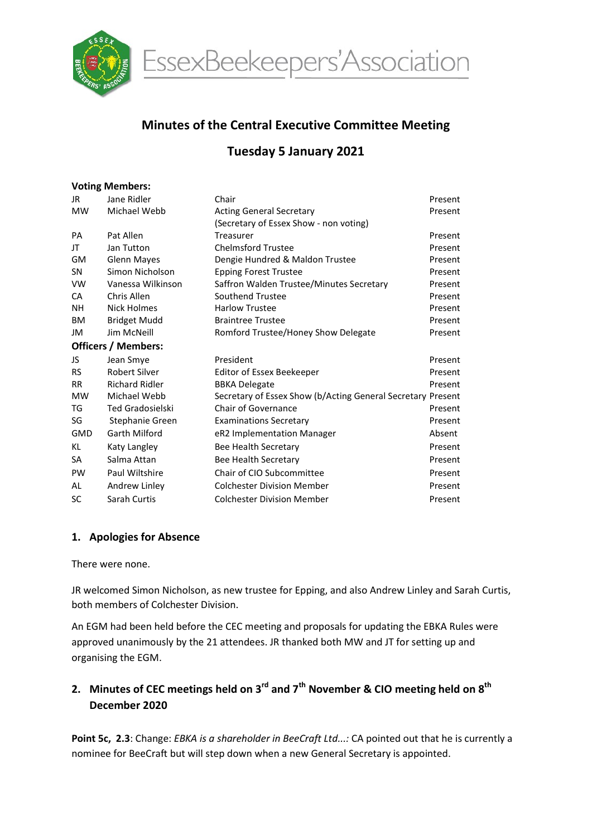

EssexBeekeepers'Association

# Minutes of the Central Executive Committee Meeting

# Tuesday 5 January 2021

#### Voting Members:

| JR                         | Jane Ridler             | Chair                                                       | Present |  |  |  |  |
|----------------------------|-------------------------|-------------------------------------------------------------|---------|--|--|--|--|
| <b>MW</b>                  | Michael Webb            | <b>Acting General Secretary</b>                             | Present |  |  |  |  |
|                            |                         | (Secretary of Essex Show - non voting)                      |         |  |  |  |  |
| PA                         | Pat Allen               | Treasurer                                                   | Present |  |  |  |  |
| JT                         | Jan Tutton              | <b>Chelmsford Trustee</b>                                   | Present |  |  |  |  |
| <b>GM</b>                  | <b>Glenn Mayes</b>      | Dengie Hundred & Maldon Trustee                             | Present |  |  |  |  |
| SN                         | Simon Nicholson         | <b>Epping Forest Trustee</b>                                | Present |  |  |  |  |
| <b>VW</b>                  | Vanessa Wilkinson       | Saffron Walden Trustee/Minutes Secretary                    | Present |  |  |  |  |
| <b>CA</b>                  | Chris Allen             | Southend Trustee                                            | Present |  |  |  |  |
| NΗ                         | <b>Nick Holmes</b>      | <b>Harlow Trustee</b>                                       | Present |  |  |  |  |
| BM                         | <b>Bridget Mudd</b>     | <b>Braintree Trustee</b>                                    | Present |  |  |  |  |
| JM                         | Jim McNeill             | Romford Trustee/Honey Show Delegate                         | Present |  |  |  |  |
| <b>Officers / Members:</b> |                         |                                                             |         |  |  |  |  |
| JS                         | Jean Smye               | President                                                   | Present |  |  |  |  |
| <b>RS</b>                  | <b>Robert Silver</b>    | Editor of Essex Beekeeper                                   | Present |  |  |  |  |
| <b>RR</b>                  | <b>Richard Ridler</b>   | <b>BBKA Delegate</b>                                        | Present |  |  |  |  |
| <b>MW</b>                  | Michael Webb            | Secretary of Essex Show (b/Acting General Secretary Present |         |  |  |  |  |
| TG                         | <b>Ted Gradosielski</b> | Chair of Governance                                         | Present |  |  |  |  |
| SG                         | Stephanie Green         | <b>Examinations Secretary</b>                               | Present |  |  |  |  |
| <b>GMD</b>                 | Garth Milford           | eR2 Implementation Manager                                  | Absent  |  |  |  |  |
| KL                         | Katy Langley            | Bee Health Secretary                                        | Present |  |  |  |  |
| SA                         | Salma Attan             | Bee Health Secretary                                        | Present |  |  |  |  |
| <b>PW</b>                  | Paul Wiltshire          | Chair of CIO Subcommittee                                   | Present |  |  |  |  |
| AL                         | Andrew Linley           | <b>Colchester Division Member</b>                           | Present |  |  |  |  |
| SC                         | Sarah Curtis            | <b>Colchester Division Member</b>                           | Present |  |  |  |  |

### 1. Apologies for Absence

#### There were none.

JR welcomed Simon Nicholson, as new trustee for Epping, and also Andrew Linley and Sarah Curtis, both members of Colchester Division.

An EGM had been held before the CEC meeting and proposals for updating the EBKA Rules were approved unanimously by the 21 attendees. JR thanked both MW and JT for setting up and organising the EGM.

# 2. Minutes of CEC meetings held on  $3^{rd}$  and  $7^{th}$  November & CIO meeting held on  $8^{th}$ December 2020

Point 5c, 2.3: Change: EBKA is a shareholder in BeeCraft Ltd...: CA pointed out that he is currently a nominee for BeeCraft but will step down when a new General Secretary is appointed.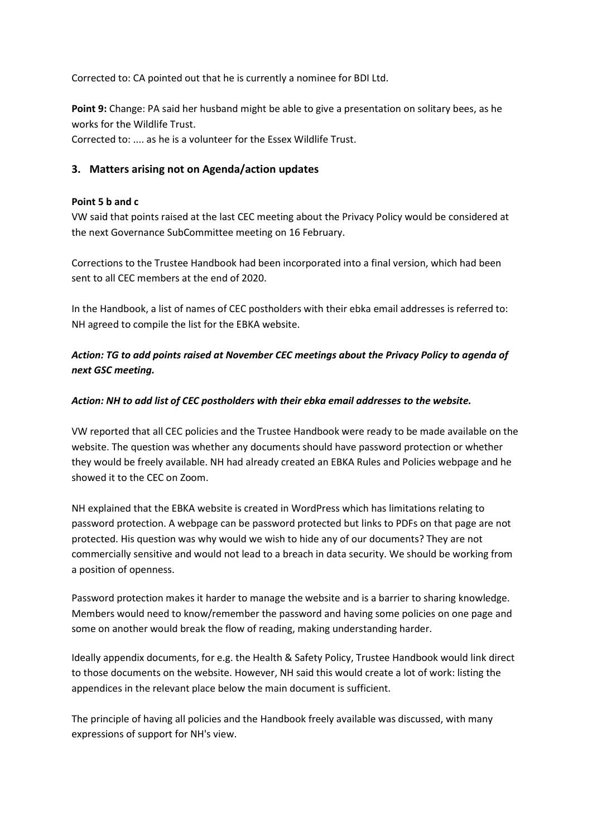Corrected to: CA pointed out that he is currently a nominee for BDI Ltd.

Point 9: Change: PA said her husband might be able to give a presentation on solitary bees, as he works for the Wildlife Trust.

Corrected to: .... as he is a volunteer for the Essex Wildlife Trust.

### 3. Matters arising not on Agenda/action updates

#### Point 5 b and c

VW said that points raised at the last CEC meeting about the Privacy Policy would be considered at the next Governance SubCommittee meeting on 16 February.

Corrections to the Trustee Handbook had been incorporated into a final version, which had been sent to all CEC members at the end of 2020.

In the Handbook, a list of names of CEC postholders with their ebka email addresses is referred to: NH agreed to compile the list for the EBKA website.

Action: TG to add points raised at November CEC meetings about the Privacy Policy to agenda of next GSC meeting.

#### Action: NH to add list of CEC postholders with their ebka email addresses to the website.

VW reported that all CEC policies and the Trustee Handbook were ready to be made available on the website. The question was whether any documents should have password protection or whether they would be freely available. NH had already created an EBKA Rules and Policies webpage and he showed it to the CEC on Zoom.

NH explained that the EBKA website is created in WordPress which has limitations relating to password protection. A webpage can be password protected but links to PDFs on that page are not protected. His question was why would we wish to hide any of our documents? They are not commercially sensitive and would not lead to a breach in data security. We should be working from a position of openness.

Password protection makes it harder to manage the website and is a barrier to sharing knowledge. Members would need to know/remember the password and having some policies on one page and some on another would break the flow of reading, making understanding harder.

Ideally appendix documents, for e.g. the Health & Safety Policy, Trustee Handbook would link direct to those documents on the website. However, NH said this would create a lot of work: listing the appendices in the relevant place below the main document is sufficient.

The principle of having all policies and the Handbook freely available was discussed, with many expressions of support for NH's view.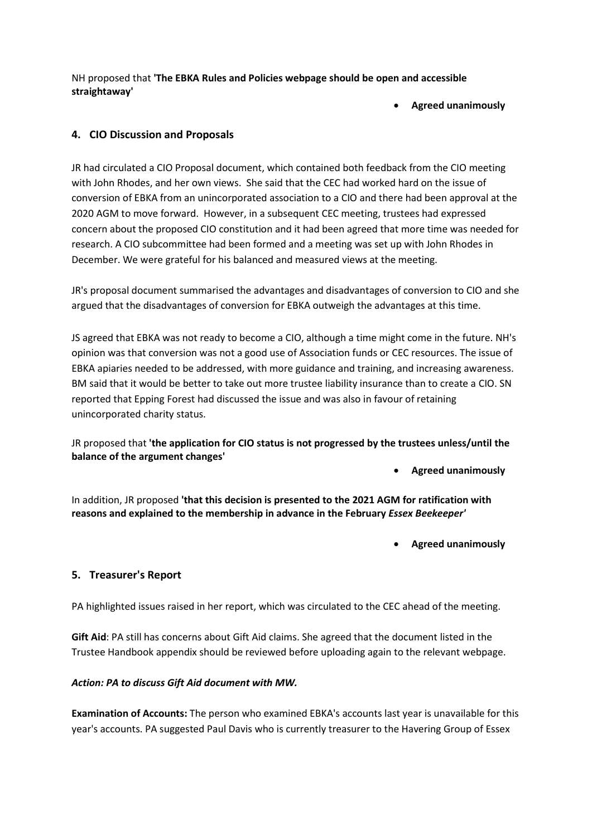NH proposed that 'The EBKA Rules and Policies webpage should be open and accessible straightaway'

Agreed unanimously

### 4. CIO Discussion and Proposals

JR had circulated a CIO Proposal document, which contained both feedback from the CIO meeting with John Rhodes, and her own views. She said that the CEC had worked hard on the issue of conversion of EBKA from an unincorporated association to a CIO and there had been approval at the 2020 AGM to move forward. However, in a subsequent CEC meeting, trustees had expressed concern about the proposed CIO constitution and it had been agreed that more time was needed for research. A CIO subcommittee had been formed and a meeting was set up with John Rhodes in December. We were grateful for his balanced and measured views at the meeting.

JR's proposal document summarised the advantages and disadvantages of conversion to CIO and she argued that the disadvantages of conversion for EBKA outweigh the advantages at this time.

JS agreed that EBKA was not ready to become a CIO, although a time might come in the future. NH's opinion was that conversion was not a good use of Association funds or CEC resources. The issue of EBKA apiaries needed to be addressed, with more guidance and training, and increasing awareness. BM said that it would be better to take out more trustee liability insurance than to create a CIO. SN reported that Epping Forest had discussed the issue and was also in favour of retaining unincorporated charity status.

JR proposed that 'the application for CIO status is not progressed by the trustees unless/until the balance of the argument changes'

Agreed unanimously

In addition, JR proposed 'that this decision is presented to the 2021 AGM for ratification with reasons and explained to the membership in advance in the February Essex Beekeeper'

Agreed unanimously

### 5. Treasurer's Report

PA highlighted issues raised in her report, which was circulated to the CEC ahead of the meeting.

Gift Aid: PA still has concerns about Gift Aid claims. She agreed that the document listed in the Trustee Handbook appendix should be reviewed before uploading again to the relevant webpage.

#### Action: PA to discuss Gift Aid document with MW.

Examination of Accounts: The person who examined EBKA's accounts last year is unavailable for this year's accounts. PA suggested Paul Davis who is currently treasurer to the Havering Group of Essex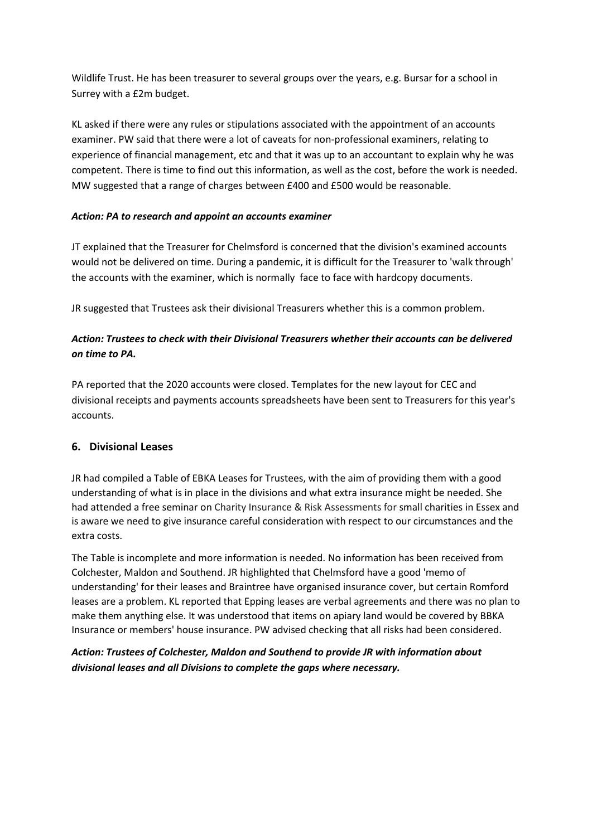Wildlife Trust. He has been treasurer to several groups over the years, e.g. Bursar for a school in Surrey with a £2m budget.

KL asked if there were any rules or stipulations associated with the appointment of an accounts examiner. PW said that there were a lot of caveats for non-professional examiners, relating to experience of financial management, etc and that it was up to an accountant to explain why he was competent. There is time to find out this information, as well as the cost, before the work is needed. MW suggested that a range of charges between £400 and £500 would be reasonable.

### Action: PA to research and appoint an accounts examiner

JT explained that the Treasurer for Chelmsford is concerned that the division's examined accounts would not be delivered on time. During a pandemic, it is difficult for the Treasurer to 'walk through' the accounts with the examiner, which is normally face to face with hardcopy documents.

JR suggested that Trustees ask their divisional Treasurers whether this is a common problem.

## Action: Trustees to check with their Divisional Treasurers whether their accounts can be delivered on time to PA.

PA reported that the 2020 accounts were closed. Templates for the new layout for CEC and divisional receipts and payments accounts spreadsheets have been sent to Treasurers for this year's accounts.

## 6. Divisional Leases

JR had compiled a Table of EBKA Leases for Trustees, with the aim of providing them with a good understanding of what is in place in the divisions and what extra insurance might be needed. She had attended a free seminar on Charity Insurance & Risk Assessments for small charities in Essex and is aware we need to give insurance careful consideration with respect to our circumstances and the extra costs.

The Table is incomplete and more information is needed. No information has been received from Colchester, Maldon and Southend. JR highlighted that Chelmsford have a good 'memo of understanding' for their leases and Braintree have organised insurance cover, but certain Romford leases are a problem. KL reported that Epping leases are verbal agreements and there was no plan to make them anything else. It was understood that items on apiary land would be covered by BBKA Insurance or members' house insurance. PW advised checking that all risks had been considered.

## Action: Trustees of Colchester, Maldon and Southend to provide JR with information about divisional leases and all Divisions to complete the gaps where necessary.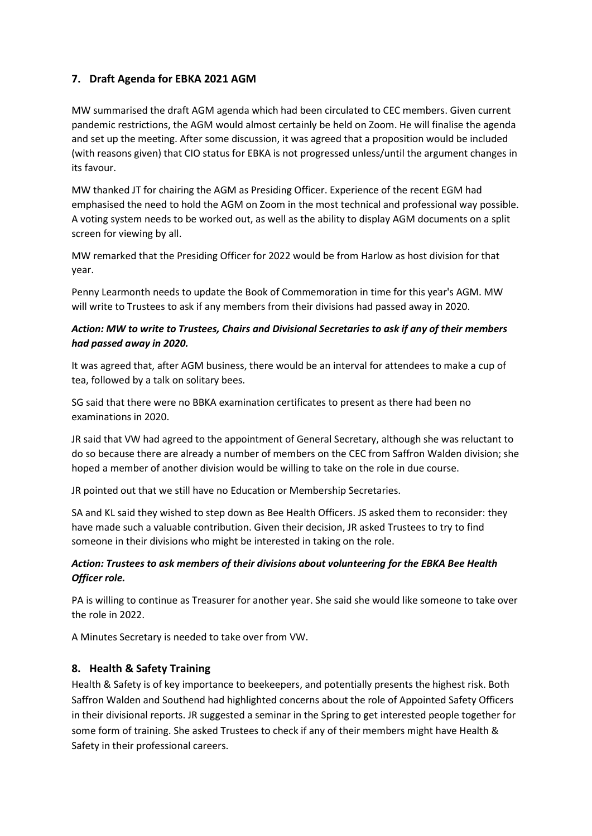## 7. Draft Agenda for EBKA 2021 AGM

MW summarised the draft AGM agenda which had been circulated to CEC members. Given current pandemic restrictions, the AGM would almost certainly be held on Zoom. He will finalise the agenda and set up the meeting. After some discussion, it was agreed that a proposition would be included (with reasons given) that CIO status for EBKA is not progressed unless/until the argument changes in its favour.

MW thanked JT for chairing the AGM as Presiding Officer. Experience of the recent EGM had emphasised the need to hold the AGM on Zoom in the most technical and professional way possible. A voting system needs to be worked out, as well as the ability to display AGM documents on a split screen for viewing by all.

MW remarked that the Presiding Officer for 2022 would be from Harlow as host division for that year.

Penny Learmonth needs to update the Book of Commemoration in time for this year's AGM. MW will write to Trustees to ask if any members from their divisions had passed away in 2020.

### Action: MW to write to Trustees, Chairs and Divisional Secretaries to ask if any of their members had passed away in 2020.

It was agreed that, after AGM business, there would be an interval for attendees to make a cup of tea, followed by a talk on solitary bees.

SG said that there were no BBKA examination certificates to present as there had been no examinations in 2020.

JR said that VW had agreed to the appointment of General Secretary, although she was reluctant to do so because there are already a number of members on the CEC from Saffron Walden division; she hoped a member of another division would be willing to take on the role in due course.

JR pointed out that we still have no Education or Membership Secretaries.

SA and KL said they wished to step down as Bee Health Officers. JS asked them to reconsider: they have made such a valuable contribution. Given their decision, JR asked Trustees to try to find someone in their divisions who might be interested in taking on the role.

### Action: Trustees to ask members of their divisions about volunteering for the EBKA Bee Health Officer role.

PA is willing to continue as Treasurer for another year. She said she would like someone to take over the role in 2022.

A Minutes Secretary is needed to take over from VW.

### 8. Health & Safety Training

Health & Safety is of key importance to beekeepers, and potentially presents the highest risk. Both Saffron Walden and Southend had highlighted concerns about the role of Appointed Safety Officers in their divisional reports. JR suggested a seminar in the Spring to get interested people together for some form of training. She asked Trustees to check if any of their members might have Health & Safety in their professional careers.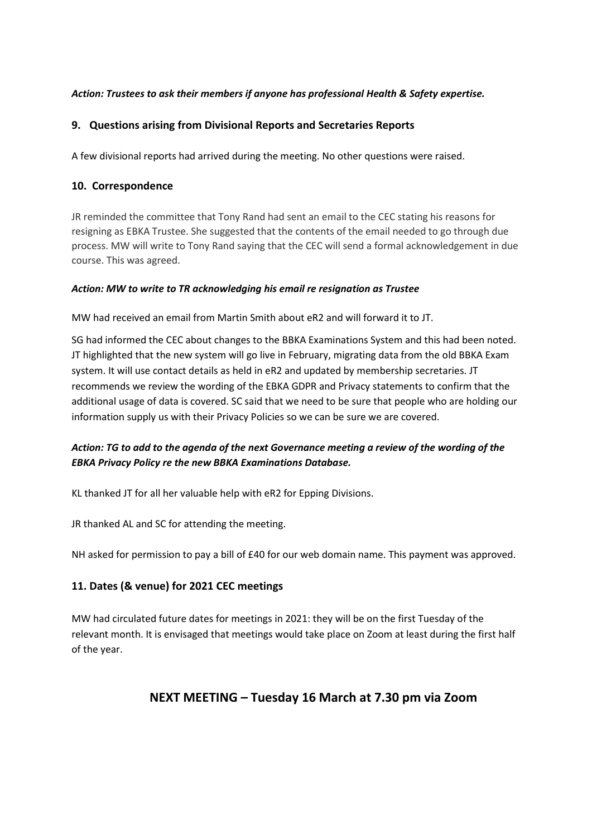### Action: Trustees to ask their members if anyone has professional Health & Safety expertise.

### 9. Questions arising from Divisional Reports and Secretaries Reports

A few divisional reports had arrived during the meeting. No other questions were raised.

### 10. Correspondence

JR reminded the committee that Tony Rand had sent an email to the CEC stating his reasons for resigning as EBKA Trustee. She suggested that the contents of the email needed to go through due process. MW will write to Tony Rand saying that the CEC will send a formal acknowledgement in due course. This was agreed.

### Action: MW to write to TR acknowledging his email re resignation as Trustee

MW had received an email from Martin Smith about eR2 and will forward it to JT.

SG had informed the CEC about changes to the BBKA Examinations System and this had been noted. JT highlighted that the new system will go live in February, migrating data from the old BBKA Exam system. It will use contact details as held in eR2 and updated by membership secretaries. JT recommends we review the wording of the EBKA GDPR and Privacy statements to confirm that the additional usage of data is covered. SC said that we need to be sure that people who are holding our information supply us with their Privacy Policies so we can be sure we are covered.

## Action: TG to add to the agenda of the next Governance meeting a review of the wording of the EBKA Privacy Policy re the new BBKA Examinations Database.

KL thanked JT for all her valuable help with eR2 for Epping Divisions.

JR thanked AL and SC for attending the meeting.

NH asked for permission to pay a bill of £40 for our web domain name. This payment was approved.

### 11. Dates (& venue) for 2021 CEC meetings

MW had circulated future dates for meetings in 2021: they will be on the first Tuesday of the relevant month. It is envisaged that meetings would take place on Zoom at least during the first half of the year.

# NEXT MEETING – Tuesday 16 March at 7.30 pm via Zoom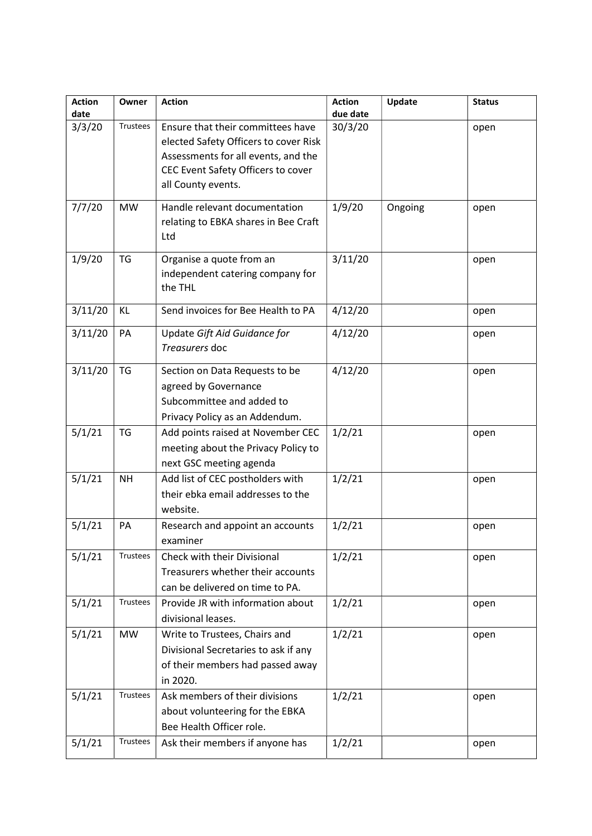| <b>Action</b><br>date | Owner           | <b>Action</b>                                                                                                                                                                 | <b>Action</b><br>due date | Update  | <b>Status</b> |
|-----------------------|-----------------|-------------------------------------------------------------------------------------------------------------------------------------------------------------------------------|---------------------------|---------|---------------|
| 3/3/20                | Trustees        | Ensure that their committees have<br>elected Safety Officers to cover Risk<br>Assessments for all events, and the<br>CEC Event Safety Officers to cover<br>all County events. | 30/3/20                   |         | open          |
| 7/7/20                | <b>MW</b>       | Handle relevant documentation<br>relating to EBKA shares in Bee Craft<br>Ltd                                                                                                  | 1/9/20                    | Ongoing | open          |
| 1/9/20                | <b>TG</b>       | Organise a quote from an<br>independent catering company for<br>the THL                                                                                                       | 3/11/20                   |         | open          |
| 3/11/20               | KL              | Send invoices for Bee Health to PA                                                                                                                                            | 4/12/20                   |         | open          |
| 3/11/20               | PA              | Update Gift Aid Guidance for<br>Treasurers doc                                                                                                                                | 4/12/20                   |         | open          |
| 3/11/20               | <b>TG</b>       | Section on Data Requests to be<br>agreed by Governance<br>Subcommittee and added to<br>Privacy Policy as an Addendum.                                                         | 4/12/20                   |         | open          |
| 5/1/21                | <b>TG</b>       | Add points raised at November CEC<br>meeting about the Privacy Policy to<br>next GSC meeting agenda                                                                           | 1/2/21                    |         | open          |
| 5/1/21                | <b>NH</b>       | Add list of CEC postholders with<br>their ebka email addresses to the<br>website.                                                                                             | 1/2/21                    |         | open          |
| 5/1/21                | PA              | Research and appoint an accounts<br>examiner                                                                                                                                  | 1/2/21                    |         | open          |
| 5/1/21                | Trustees        | Check with their Divisional<br>Treasurers whether their accounts<br>can be delivered on time to PA.                                                                           | 1/2/21                    |         | open          |
| 5/1/21                | <b>Trustees</b> | Provide JR with information about<br>divisional leases.                                                                                                                       | 1/2/21                    |         | open          |
| 5/1/21                | <b>MW</b>       | Write to Trustees, Chairs and<br>Divisional Secretaries to ask if any<br>of their members had passed away<br>in 2020.                                                         | 1/2/21                    |         | open          |
| 5/1/21                | <b>Trustees</b> | Ask members of their divisions<br>about volunteering for the EBKA<br>Bee Health Officer role.                                                                                 | 1/2/21                    |         | open          |
| 5/1/21                | <b>Trustees</b> | Ask their members if anyone has                                                                                                                                               | 1/2/21                    |         | open          |